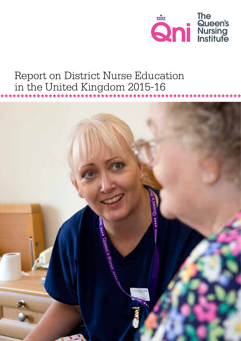

# Report on District Nurse Education in the United Kingdom 2015-16

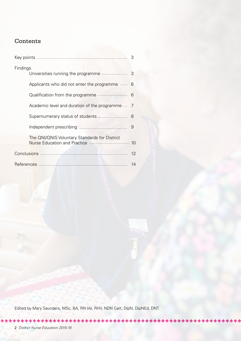# Contents

| Findings                                      |     |
|-----------------------------------------------|-----|
| Applicants who did not enter the programme    | -6  |
|                                               |     |
| Academic level and duration of the programme  | - 7 |
| Supernumerary status of students<br>- 8       |     |
|                                               |     |
| The QNI/QNIS Voluntary Standards for District |     |
|                                               | 12  |
|                                               | 14  |

Edited by Mary Saunders, MSc, BA, RN (A), RHV, NDN Cert, DipN, DipNEd, DNT.

\*\*\*\*\*\*\*\*\*\*\*\*\*\*\*\*\*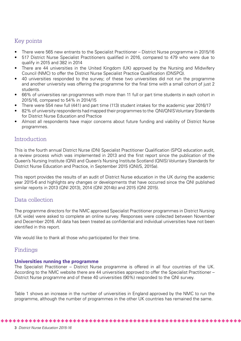# Key points

- There were 565 new entrants to the Specialist Practitioner District Nurse programme in 2015/16
- 517 District Nurse Specialist Practitioners qualified in 2016, compared to 479 who were due to qualify in 2015 and 382 in 2014
- There are 44 universities in the United Kingdom (UK) approved by the Nursing and Midwifery Council (NMC) to offer the District Nurse Specialist Practice Qualification (DNSPQ).
- 40 universities responded to the survey; of these two universities did not run the programme and another university was offering the programme for the final time with a small cohort of just 2 students.
- 66% of universities ran programmes with more than 11 full or part time students in each cohort in 2015/16, compared to 54% in 2014/15
- There were 554 new full (441) and part time (113) student intakes for the academic year 2016/17
- 82% of university respondents had mapped their programmes to the QNI/QNIS Voluntary Standards for District Nurse Education and Practice
- Almost all respondents have major concerns about future funding and viability of District Nurse programmes.

# Introduction

This is the fourth annual District Nurse (DN) Specialist Practitioner Qualification (SPQ) education audit, a review process which was implemented in 2013 and the first report since the publication of the Queen's Nursing Institute (QNI) and Queen's Nursing Institute Scotland (QNIS) Voluntary Standards for District Nurse Education and Practice, in September 2015 (QNI/S, 2015a).

This report provides the results of an audit of District Nurse education in the UK during the academic year 2015-6 and highlights any changes or developments that have occurred since the QNI published similar reports in 2013 (QNI 2013), 2014 (QNI 2014b) and 2015 (QNI 2015).

# Data collection

The programme directors for the NMC approved Specialist Practitioner programmes in District Nursing (UK wide) were asked to complete an online survey. Responses were collected between November and December 2016. All data has been treated as confidential and individual universities have not been identified in this report.

We would like to thank all those who participated for their time.

# Findings

# **Universities running the programme**

The Specialist Practitioner – District Nurse programme is offered in all four countries of the UK. According to the NMC website there are 44 universities approved to offer the Specialist Practitioner – District Nurse programme and of these 40 universities (90%) responded to the QNI survey.

Table 1 shows an increase in the number of universities in England approved by the NMC to run the programme, although the number of programmes in the other UK countries has remained the same.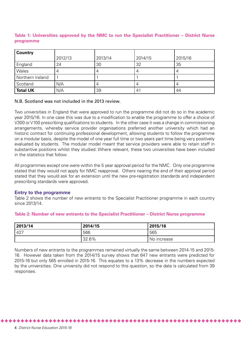| <b>Country</b>   |         |         |         |         |
|------------------|---------|---------|---------|---------|
|                  | 2012/13 | 2013/14 | 2014/15 | 2015/16 |
| England          | 24      | 30      | 32      | 35      |
| Wales            |         |         |         |         |
| Northern Ireland |         |         |         |         |
| Scotland         | N/A     |         |         |         |
| <b>Total UK</b>  | N/A     | 39      | 41      | 44      |

# **Table 1: Universities approved by the NMC to run the Specialist Practitioner – District Nurse programme**

### N.B. Scotland was not included in the 2013 review.

Two universities in England that were approved to run the programme did not do so in the academic year 2015/16. In one case this was due to a modification to enable the programme to offer a choice of V300 or V100 prescribing qualifications to students. In the other case it was a change in commissioning arrangements, whereby service provider organisations preferred another university which had an historic contract for continuing professional development, allowing students to follow the programme on a modular basis, despite the model of one year full time or two years part time being very positively evaluated by students. The modular model meant that service providers were able to retain staff in substantive positions whilst they studied. Where relevant, these two universities have been included in the statistics that follow.

All programmes except one were within the 5 year approval period for the NMC. Only one programme stated that they would not apply for NMC reapproval. Others nearing the end of their approval period stated that they would ask for an extension until the new pre-registration standards and independent prescribing standards were approved.

#### **Entry to the programme**

Table 2 shows the number of new entrants to the Specialist Practitioner programme in each country since 2013/14.

#### **Table 2: Number of new entrants to the Specialist Practitioner – District Nurse programme**

| '2013/14 | 2014/15 | 2015/16     |
|----------|---------|-------------|
| .427     | 566     | 565         |
|          | 32.6%   | No increase |

Numbers of new entrants to the programmes remained virtually the same between 2014-15 and 2015- 16. However data taken from the 2014/15 survey shows that 647 new entrants were predicted for 2015-16 but only 565 enrolled in 2015-16. This equates to a 13% decrease in the numbers expected by the universities. One university did not respond to this question, so the data is calculated from 39 responses.

\*\*\*\*\*\*\*\*\*\*\*\*\*\*\*\*\*\*\*

\*\*\*\*\*\*\*\*\*\*\*\*\*\*\*\*\*\*\*\*\*\*\*\*\*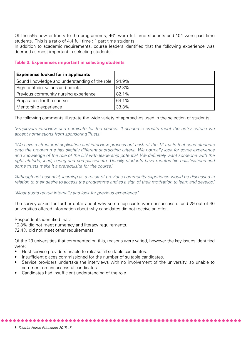Of the 565 new entrants to the programmes, 461 were full time students and 104 were part time students. This is a ratio of 4.4 full time : 1 part time students.

In addition to academic requirements, course leaders identified that the following experience was deemed as most important in selecting students:

| <b>Experience looked for in applicants</b>           |       |
|------------------------------------------------------|-------|
| Sound knowledge and understanding of the role 194.9% |       |
| Right attitude, values and beliefs                   | 92.3% |
| Previous community nursing experience                | 82.1% |
| Preparation for the course                           | 64.1% |
| Mentorship experience                                | 33.3% |

## **Table 3: Experiences important in selecting students**

The following comments illustrate the wide variety of approaches used in the selection of students:

*'Employers interview and nominate for the course. If academic credits meet the entry criteria we accept nominations from sponsoring Trusts.'*

*'We have a structured application and interview process but each of the 12 trusts that send students onto the programme has slightly different shortlisting criteria. We normally look for some experience*  and knowledge of the role of the DN with leadership potential. We definitely want someone with the *right attitude, kind, caring and compassionate. Usually students have mentorship qualifications and some trusts make it a prerequisite for the course.'*

*'Although not essential, learning as a result of previous community experience would be discussed in relation to their desire to access the programme and as a sign of their motivation to learn and develop.'*

*'Most trusts recruit internally and look for previous experience.'*

The survey asked for further detail about why some applicants were unsuccessful and 29 out of 40 universities offered information about why candidates did not receive an offer.

Respondents identified that: 10.3% did not meet numeracy and literacy requirements. 72.4% did not meet other requirements.

Of the 23 universities that commented on this, reasons were varied, however the key issues identified were:

- Host service providers unable to release all suitable candidates.
- Insufficient places commissioned for the number of suitable candidates.
- Service providers undertake the interviews with no involvement of the university, so unable to comment on unsuccessful candidates.
- Candidates had insufficient understanding of the role.

\*\*\*\*\*\*\*\*\*\*\*\*\*\*\*\*\*\*\*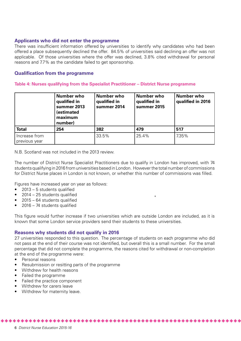# **Applicants who did not enter the programme**

There was insufficient information offered by universities to identify why candidates who had been offered a place subsequently declined the offer. 84.5% of universities said declining an offer was not applicable. Of those universities where the offer was declined, 3.8% cited withdrawal for personal reasons and 7.7% as the candidate failed to get sponsorship.

# **Qualification from the programme**

**Table 4: Nurses qualifying from the Specialist Practitioner – District Nurse programme**

|                                | <b>Number who</b><br>qualified in<br>summer 2013<br><i>(estimated</i><br>maximum<br>number) | <b>Number who</b><br>qualified in<br>summer 2014 | Number who<br>qualified in<br>summer 2015 | <b>Number who</b><br>qualified in 2016 |
|--------------------------------|---------------------------------------------------------------------------------------------|--------------------------------------------------|-------------------------------------------|----------------------------------------|
| <b>Total</b>                   | 254                                                                                         | 382                                              | 479                                       | 517                                    |
| Increase from<br>previous year |                                                                                             | 33.5%                                            | 25.4%                                     | 7.35%                                  |

N.B. Scotland was not included in the 2013 review.

The number of District Nurse Specialist Practitioners due to qualify in London has improved, with 74 students qualifying in 2016 from universities based in London. However the total number of commissions for District Nurse places in London is not known, or whether this number of commissions was filled.

Figures have increased year on year as follows:

- 2013 5 students qualified
- 2014 25 students qualified
- 2015 64 students qualified
- 2016 74 students qualified

This figure would further increase if two universities which are outside London are included, as it is known that some London service providers send their students to these universities.

\*

## **Reasons why students did not qualify in 2016**

27 universities responded to this question. The percentage of students on each programme who did not pass at the end of their course was not identified, but overall this is a small number. For the small percentage that did not complete the programme, the reasons cited for withdrawal or non-completion at the end of the programme were:

- Personal reasons
- Resubmission or resitting parts of the programme
- Withdrew for health reasons
- Failed the programme
- Failed the practice component
- Withdrew for carers leave
- Withdrew for maternity leave.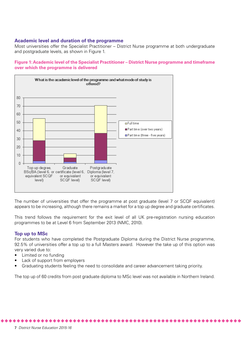# **Academic level and duration of the programme**

Most universities offer the Specialist Practitioner – District Nurse programme at both undergraduate and postgraduate levels, as shown in Figure 1.





The number of universities that offer the programme at post graduate (level 7 or SCQF equivalent) appears to be increasing, although there remains a market for a top up degree and graduate certificates.

This trend follows the requirement for the exit level of all UK pre-registration nursing education programmes to be at Level 6 from September 2013 (NMC, 2010).

## **Top up to MSc**

For students who have completed the Postgraduate Diploma during the District Nurse programme, 92.5% of universities offer a top up to a full Masters award. However the take up of this option was very varied due to:

- Limited or no funding
- Lack of support from employers
- Graduating students feeling the need to consolidate and career advancement taking priority.

The top up of 60 credits from post graduate diploma to MSc level was not available in Northern Ireland.

\*\*\*\*\*\*\*\*\*\*\*\*\*\*\*\*\*\*\*\*\*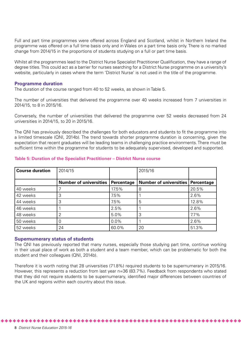Full and part time programmes were offered across England and Scotland, whilst in Northern Ireland the programme was offered on a full time basis only and in Wales on a part time basis only. There is no marked change from 2014/15 in the proportions of students studying on a full or part time basis.

Whilst all the programmes lead to the District Nurse Specialist Practitioner Qualification, they have a range of degree titles. This could act as a barrier for nurses searching for a District Nurse programme on a university's website, particularly in cases where the term 'District Nurse' is not used in the title of the programme.

#### **Programme duration**

The duration of the course ranged from 40 to 52 weeks, as shown in Table 5.

The number of universities that delivered the programme over 40 weeks increased from 7 universities in 2014/15, to 8 in 2015/16.

Conversely, the number of universities that delivered the programme over 52 weeks decreased from 24 universities in 2014/15, to 20 in 2015/16.

The QNI has previously described the challenges for both educators and students to fit the programme into a limited timescale (QNI, 2014b). The trend towards shorter programme duration is concerning, given the expectation that recent graduates will be leading teams in challenging practice environments. There must be sufficient time within the programme for students to be adequately supervised, developed and supported.

| <b>Course duration</b> | 2014/15                       |            | 2015/16                       |            |
|------------------------|-------------------------------|------------|-------------------------------|------------|
|                        |                               |            |                               |            |
|                        | <b>Number of universities</b> | Percentage | <b>Number of universities</b> | Percentage |
| 40 weeks               |                               | 17.5%      | 8                             | 20.5%      |
| 42 weeks               | 3                             | 7.5%       |                               | 2.6%       |
| 44 weeks               | 3                             | 7.5%       | 5                             | 12.8%      |
| 46 weeks               |                               | 2.5%       |                               | 2.6%       |
| 48 weeks               | っ                             | 5.0%       | 3                             | 7.7%       |
| 50 weeks               |                               | $0.0\%$    |                               | 2.6%       |
| 52 weeks               | 24                            | 60.0%      | 20                            | 51.3%      |

#### **Table 5: Duration of the Specialist Practitioner – District Nurse course**

#### **Supernumerary status of students**

The QNI has previously reported that many nurses, especially those studying part time, continue working in their usual place of work as both a student and a team member, which can be problematic for both the student and their colleagues (QNI, 2014b).

Therefore it is worth noting that 28 universities (71.8%) required students to be supernumerary in 2015/16. However, this represents a reduction from last year n=36 (83.7%). Feedback from respondents who stated that they did not require students to be supernumerary, identified major differences between countries of the UK and regions within each country about this issue.

\*\*\*\*\*\*\*\*\*\*\*\*\*\*\*\*\*\*\*\*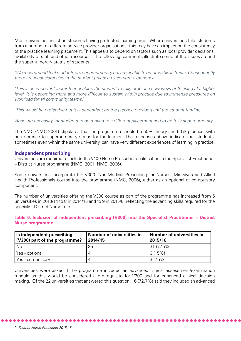Most universities insist on students having protected learning time. Where universities take students from a number of different service provider organisations, this may have an impact on the consistency of the practice learning placement. This appears to depend on factors such as local provider decisions, availability of staff and other resources. The following comments illustrate some of the issues around the supernumerary status of students:

*'We recommend that students are supernumerary but are unable to enforce this in trusts. Consequently there are inconsistencies in the student practice placement experience.'*

*'This is an important factor that enables the student to fully embrace new ways of thinking at a higher level. It is becoming more and more difficult to sustain within practice due to immense pressures on workload for all community teams.'*

*'This would be preferable but it is dependent on the [service provider] and the student funding.'*

*'Absolute necessity for students to be moved to a different placement and to be fully supernumerary.'*

The NMC (NMC 2001) stipulates that the programme should be 50% theory and 50% practice, with no reference to supernumerary status for the learner. The responses above indicate that students, sometimes even within the same university, can have very different experiences of learning in practice.

#### **Independent prescribing**

Universities are required to include the V100 Nurse Prescriber qualification in the Specialist Practitioner – District Nurse programme (NMC, 2001; NMC, 2006).

Some universities incorporate the V300: Non-Medical Prescribing for Nurses, Midwives and Allied Health Professionals course into the programme (NMC, 2006), either as an optional or compulsory component.

The number of universities offering the V300 course as part of the programme has increased from 5 universities in 2013/14 to 8 in 2014/15 and to 9 in 2015/6, reflecting the advancing skills required for the specialist District Nurse role.

## **Table 6: Inclusion of independent prescribing (V300) into the Specialist Practitioner – District Nurse programme**

| Is independent prescribing<br>(V300) part of the programme? | Number of universities in<br>2014/15 | Number of universities in<br>2015/16 |
|-------------------------------------------------------------|--------------------------------------|--------------------------------------|
| <b>No</b>                                                   | 35                                   | 31(77.5%)                            |
| Yes - optional                                              |                                      | 6(15%)                               |
| Yes - compulsory                                            |                                      | 3(7.5%)                              |

Universities were asked if the programme included an advanced clinical assessment/examination module as this would be considered a pre-requisite for V300 and for enhanced clinical decision making. Of the 22 universities that answered this question, 16 (72.7%) said they included an advanced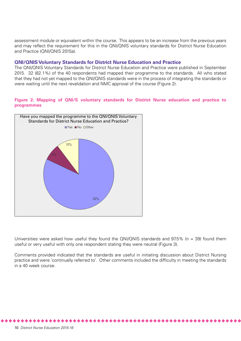assessment module or equivalent within the course. This appears to be an increase from the previous years and may reflect the requirement for this in the QNI/QNIS voluntary standards for District Nurse Education and Practice (QNI/QNIS 2015a).

## **QNI/QNIS Voluntary Standards for District Nurse Education and Practice**

The QNI/QNIS Voluntary Standards for District Nurse Education and Practice were published in September 2015. 32 (82.1%) of the 40 respondents had mapped their programme to the standards. All who stated that they had not yet mapped to the QNI/QNIS standards were in the process of integrating the standards or were waiting until the next revalidation and NMC approval of the course (Figure 2).

# **Figure 2: Mapping of QNI/S voluntary standards for District Nurse education and practice to programmes**



Universities were asked how useful they found the  $\Omega$ NI/ $\Omega$ NIS standards and 97.5% (n = 39) found them useful or very useful with only one respondent stating they were neutral (Figure 3).

Comments provided indicated that the standards are useful in initiating discussion about District Nursing practice and were 'continually referred to'. Other comments included the difficulty in meeting the standards in a 40 week course.

\*\*\*\*\*\*\*\*\*\*\*\*\*\*\*\*\*\*\*\*\*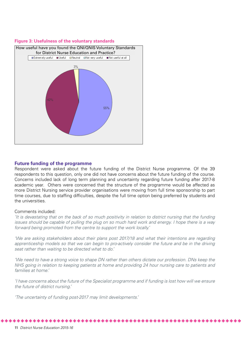#### **Figure 3: Usefulness of the voluntary standards**



#### **Future funding of the programme**

Respondent were asked about the future funding of the District Nurse programme. Of the 39 respondents to this question, only one did not have concerns about the future funding of the course. Concerns included lack of long term planning and uncertainty regarding future funding after 2017-8 academic year. Others were concerned that the structure of the programme would be affected as more District Nursing service provider organisations were moving from full time sponsorship to part time courses, due to staffing difficulties, despite the full time option being preferred by students and the universities.

#### Comments included:

*'It is devastating that on the back of so much positivity in relation to district nursing that the funding issues should be capable of pulling the plug on so much hard work and energy. I hope there is a way forward being promoted from the centre to support the work locally.'*

*'We are asking stakeholders about their plans post 2017/18 and what their intentions are regarding*  apprenticeship models so that we can begin to pro-actively consider the future and be in the driving *seat rather than waiting to be directed what to do.'*

*'We need to have a strong voice to shape DN rather than others dictate our profession. DNs keep the NHS going in relation to keeping patients at home and providing 24 hour nursing care to patients and families at home.'*

*'I have concerns about the future of the Specialist programme and if funding is lost how will we ensure the future of district nursing.'*

*'The uncertainty of funding post-2017 may limit developments.'*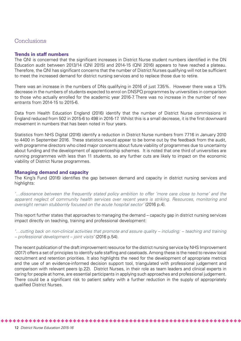# Conclusions

# **Trends in staff numbers**

The QNI is concerned that the significant increases in District Nurse student numbers identified in the DN Education audit between 2013/14 (QNI 2015) and 2014-15 (QNI 2016) appears to have reached a plateau. Therefore, the QNI has significant concerns that the number of District Nurses qualifying will not be sufficient to meet the increased demand for district nursing services and to replace those due to retire.

There was an increase in the numbers of DNs qualifying in 2016 of just 7.35%. However there was a 13% decrease in the numbers of students expected to enrol on DNSPQ programmes by universities in comparison to those who actually enrolled for the academic year 2016-7. There was no increase in the number of new entrants from 2014-15 to 2015-6.

Data from Health Education England (2016) identify that the number of District Nurse commissions in England reduced from 502 in 2015-6 to 498 in 2016-17. Whilst this is a small decrease, it is the first downward movement in numbers that has been noted in four years.

Statistics from NHS Digital (2016) identify a reduction in District Nurse numbers from 7716 in January 2010 to 4400 in September 2016. These statistics would appear to be borne out by the feedback from the audit, with programme directors who cited major concerns about future viability of programmes due to uncertainty about funding and the development of apprenticeship schemes. It is noted that one third of universities are running programmes with less than 11 students, so any further cuts are likely to impact on the economic viability of District Nurse programmes.

## **Managing demand and capacity**

The King's Fund (2016) identifies the gap between demand and capacity in district nursing services and highlights:

*'…dissonance between the frequently stated policy ambition to offer 'more care close to home' and the apparent neglect of community health services over recent years is striking. Resources, monitoring and oversight remain stubbornly focused on the acute hospital sector'* (2016 p.4).

This report further states that approaches to managing the demand – capacity gap in district nursing services impact directly on teaching, training and professional development:

*'…cutting back on non-clinical activities that promote and assure quality – including: – teaching and training – professional development – joint visits'* (2016 p.54).

The recent publication of the draft improvement resource for the district nursing service by NHS Improvement (2017) offers a set of principles to identify safe staffing and caseloads. Among these is the need to review local recruitment and retention priorities. It also highlights the need for the development of appropriate metrics and the use of an evidence-informed decision support tool, triangulated with professional judgement and comparison with relevant peers (p.22). District Nurses, in their role as team leaders and clinical experts in caring for people at home, are essential participants in applying such approaches and professional judgement. There could be a significant risk to patient safety with a further reduction in the supply of appropriately qualified District Nurses.

\*\*\*\*\*\*\*\*\*\*\*\*\*\*\*\*\*\*\*\*\*\*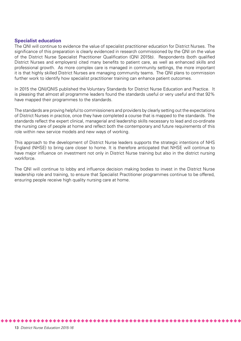## **Specialist education**

The QNI will continue to evidence the value of specialist practitioner education for District Nurses. The significance of this preparation is clearly evidenced in research commissioned by the QNI on the value of the District Nurse Specialist Practitioner Qualification (QNI 2015b). Respondents (both qualified District Nurses and employers) cited many benefits to patient care, as well as enhanced skills and professional growth. As more complex care is managed in community settings, the more important it is that highly skilled District Nurses are managing community teams. The QNI plans to commission further work to identify how specialist practitioner training can enhance patient outcomes.

In 2015 the QNI/QNIS published the Voluntary Standards for District Nurse Education and Practice. It is pleasing that almost all programme leaders found the standards useful or very useful and that 92% have mapped their programmes to the standards.

The standards are proving helpful to commissioners and providers by clearly setting out the expectations of District Nurses in practice, once they have completed a course that is mapped to the standards. The standards reflect the expert clinical, managerial and leadership skills necessary to lead and co-ordinate the nursing care of people at home and reflect both the contemporary and future requirements of this role within new service models and new ways of working.

This approach to the development of District Nurse leaders supports the strategic intentions of NHS England (NHSE) to bring care closer to home. It is therefore anticipated that NHSE will continue to have major influence on investment not only in District Nurse training but also in the district nursing workforce.

The QNI will continue to lobby and influence decision making bodies to invest in the District Nurse leadership role and training, to ensure that Specialist Practitioner programmes continue to be offered, ensuring people receive high quality nursing care at home.

\*\*\*\*\*\*\*\*\*\*\*\*\*\*\*\*\*\*\*\*\*\*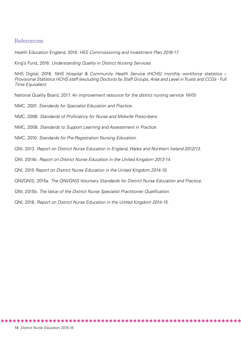# References

Health Education England, 2016. *HEE Commissioning and Investment Plan 2016-17*

King's Fund, 2016. *Understanding Quality in District Nursing Services* 

NHS Digital, 2016. *NHS Hospital & Community Health Service (HCHS) monthly workforce statistics – Provisional Statistics HCHS staff (excluding Doctors) by Staff Groups, Area and Level in Trusts and CCGs - Full Time Equivalent*

National Quality Board, 2017. *An improvement resource for the district nursing service* NHSI

NMC, 2001. *Standards for Specialist Education and Practice.* 

NMC, 2006. *Standards of Proficiency for Nurse and Midwife Prescribers.*

NMC, 2008. *Standards to Support Learning and Assessment in Practice.*

NMC, 2010. *Standards for Pre-Registration Nursing Education.* 

QNI, 2013. *Report on District Nurse Education in England, Wales and Northern Ireland 2012/13.*

QNI, 2014b. *Report on District Nurse Education in the United Kingdom 2013-14.*

QNI, 2015 *Report on District Nurse Education in the United Kingdom 2014-15.*

QNI/QNIS, 2015a. *The QNI/QNIS Voluntary Standards for District Nurse Education and Practice.*

QNI, 2015b. *The Value of the District Nurse Specialist Practitioner Qualification.*

QNI, 2016. *Report on District Nurse Education in the United Kingdom 2014-15.*

\*\*\*\*\*\*\*\*\*\*\*\*\*\*\*\*\*\*\*\*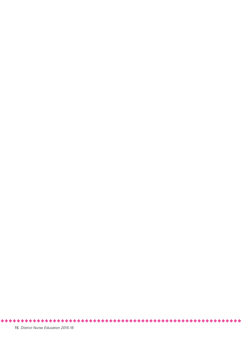*District Nurse Education 2015-16*